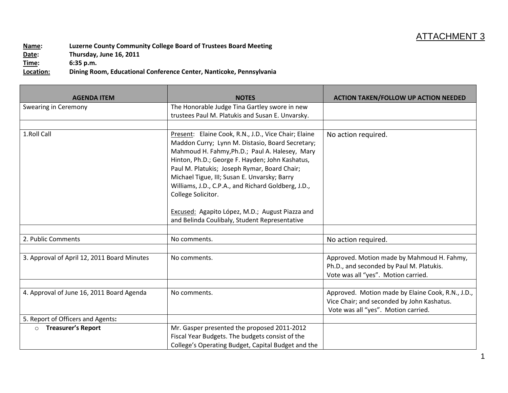## ATTACHMENT 3

**Name: Luzerne County Community College Board of Trustees Board Meeting Date: Thursday, June 16, 2011 Time: 6:35 p.m.**

**Location: Dining Room, Educational Conference Center, Nanticoke, Pennsylvania**

| <b>AGENDA ITEM</b>                          | <b>NOTES</b>                                                                                                                                                                                                                                                                                                                                                                                                                                                                                   | <b>ACTION TAKEN/FOLLOW UP ACTION NEEDED</b>                                                                                            |
|---------------------------------------------|------------------------------------------------------------------------------------------------------------------------------------------------------------------------------------------------------------------------------------------------------------------------------------------------------------------------------------------------------------------------------------------------------------------------------------------------------------------------------------------------|----------------------------------------------------------------------------------------------------------------------------------------|
| Swearing in Ceremony                        | The Honorable Judge Tina Gartley swore in new                                                                                                                                                                                                                                                                                                                                                                                                                                                  |                                                                                                                                        |
|                                             | trustees Paul M. Platukis and Susan E. Unvarsky.                                                                                                                                                                                                                                                                                                                                                                                                                                               |                                                                                                                                        |
|                                             |                                                                                                                                                                                                                                                                                                                                                                                                                                                                                                |                                                                                                                                        |
| 1.Roll Call                                 | Present: Elaine Cook, R.N., J.D., Vice Chair; Elaine<br>Maddon Curry; Lynn M. Distasio, Board Secretary;<br>Mahmoud H. Fahmy, Ph.D.; Paul A. Halesey, Mary<br>Hinton, Ph.D.; George F. Hayden; John Kashatus,<br>Paul M. Platukis; Joseph Rymar, Board Chair;<br>Michael Tigue, III; Susan E. Unvarsky; Barry<br>Williams, J.D., C.P.A., and Richard Goldberg, J.D.,<br>College Solicitor.<br>Excused: Agapito López, M.D.; August Piazza and<br>and Belinda Coulibaly, Student Representative | No action required.                                                                                                                    |
|                                             |                                                                                                                                                                                                                                                                                                                                                                                                                                                                                                |                                                                                                                                        |
| 2. Public Comments                          | No comments.                                                                                                                                                                                                                                                                                                                                                                                                                                                                                   | No action required.                                                                                                                    |
|                                             |                                                                                                                                                                                                                                                                                                                                                                                                                                                                                                |                                                                                                                                        |
| 3. Approval of April 12, 2011 Board Minutes | No comments.                                                                                                                                                                                                                                                                                                                                                                                                                                                                                   | Approved. Motion made by Mahmoud H. Fahmy,<br>Ph.D., and seconded by Paul M. Platukis.<br>Vote was all "yes". Motion carried.          |
|                                             |                                                                                                                                                                                                                                                                                                                                                                                                                                                                                                |                                                                                                                                        |
| 4. Approval of June 16, 2011 Board Agenda   | No comments.                                                                                                                                                                                                                                                                                                                                                                                                                                                                                   | Approved. Motion made by Elaine Cook, R.N., J.D.,<br>Vice Chair; and seconded by John Kashatus.<br>Vote was all "yes". Motion carried. |
| 5. Report of Officers and Agents:           |                                                                                                                                                                                                                                                                                                                                                                                                                                                                                                |                                                                                                                                        |
| <b>Treasurer's Report</b><br>$\circ$        | Mr. Gasper presented the proposed 2011-2012<br>Fiscal Year Budgets. The budgets consist of the<br>College's Operating Budget, Capital Budget and the                                                                                                                                                                                                                                                                                                                                           |                                                                                                                                        |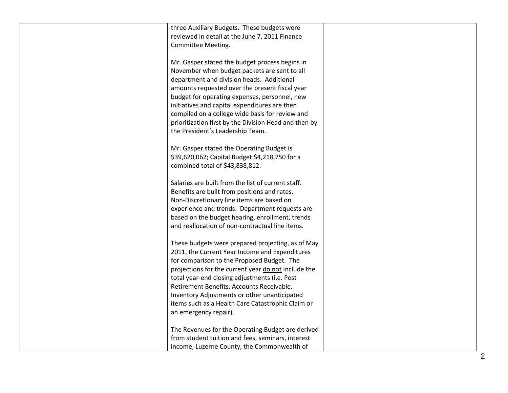| three Auxiliary Budgets. These budgets were<br>reviewed in detail at the June 7, 2011 Finance<br>Committee Meeting.                                                                                                                                                                                                                                                                                                                             |  |
|-------------------------------------------------------------------------------------------------------------------------------------------------------------------------------------------------------------------------------------------------------------------------------------------------------------------------------------------------------------------------------------------------------------------------------------------------|--|
| Mr. Gasper stated the budget process begins in<br>November when budget packets are sent to all<br>department and division heads. Additional<br>amounts requested over the present fiscal year<br>budget for operating expenses, personnel, new<br>initiatives and capital expenditures are then<br>compiled on a college wide basis for review and<br>prioritization first by the Division Head and then by<br>the President's Leadership Team. |  |
| Mr. Gasper stated the Operating Budget is<br>\$39,620,062; Capital Budget \$4,218,750 for a<br>combined total of \$43,838,812.                                                                                                                                                                                                                                                                                                                  |  |
| Salaries are built from the list of current staff.<br>Benefits are built from positions and rates.<br>Non-Discretionary line items are based on<br>experience and trends. Department requests are<br>based on the budget hearing, enrollment, trends<br>and reallocation of non-contractual line items.                                                                                                                                         |  |
| These budgets were prepared projecting, as of May<br>2011, the Current Year Income and Expenditures<br>for comparison to the Proposed Budget. The<br>projections for the current year do not include the<br>total year-end closing adjustments (i.e. Post<br>Retirement Benefits, Accounts Receivable,<br>Inventory Adjustments or other unanticipated<br>items such as a Health Care Catastrophic Claim or<br>an emergency repair).            |  |
| The Revenues for the Operating Budget are derived<br>from student tuition and fees, seminars, interest<br>income, Luzerne County, the Commonwealth of                                                                                                                                                                                                                                                                                           |  |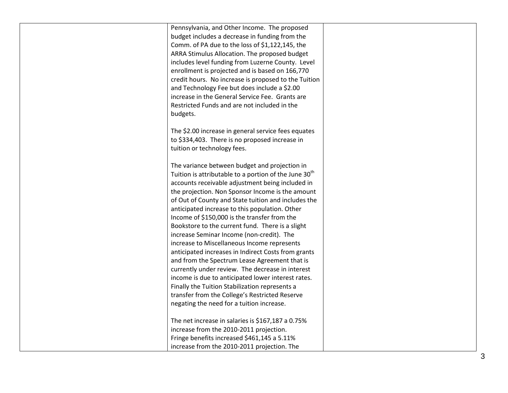Pennsylvania, and Other Income. The proposed budget includes a decrease in funding from the Comm. of PA due to the loss of \$1,122,145, the ARRA Stimulus Allocation. The proposed budget includes level funding from Luzerne County. Level enrollment is projected and is based on 166,770 credit hours. No increase is proposed to the Tuition and Technology Fee but does include a \$2.00 increase in the General Service Fee. Grants are Restricted Funds and are not included in the budgets.

The \$2.00 increase in general service fees equates to \$334,403. There is no proposed increase in tuition or technology fees.

The variance between budget and projection in Tuition is attributable to a portion of the June  $30<sup>th</sup>$ accounts receivable adjustment being included in the projection. Non Sponsor Income is the amount of Out of County and State tuition and includes the anticipated increase to this population. Other Income of \$150,000 is the transfer from the Bookstore to the current fund. There is a slight increase Seminar Income (non -credit). The increase to Miscellaneous Income represents anticipated increases in Indirect Costs from grants and from the Spectrum Lease Agreement that is currently under review. The decrease in interest income is due to anticipated lower interest rates. Finally the Tuition Stabilization represents a transfer from the College's Restricted Reserve negating the need for a tuition increase.<br>The net increase in salaries is \$167,187 a 0.75%

increase from the 2010 -2011 projection. Fringe benefits increased \$461,145 a 5.11% increase from the 2010 -2011 projection. The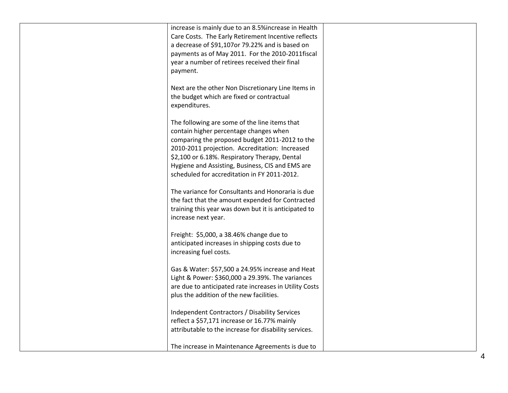| increase is mainly due to an 8.5% increase in Health                                                 |  |
|------------------------------------------------------------------------------------------------------|--|
| Care Costs. The Early Retirement Incentive reflects                                                  |  |
| a decrease of \$91,107or 79.22% and is based on                                                      |  |
| payments as of May 2011. For the 2010-2011fiscal                                                     |  |
| year a number of retirees received their final                                                       |  |
| payment.                                                                                             |  |
|                                                                                                      |  |
| Next are the other Non Discretionary Line Items in                                                   |  |
| the budget which are fixed or contractual                                                            |  |
| expenditures.                                                                                        |  |
| The following are some of the line items that                                                        |  |
| contain higher percentage changes when                                                               |  |
| comparing the proposed budget 2011-2012 to the                                                       |  |
| 2010-2011 projection. Accreditation: Increased                                                       |  |
| \$2,100 or 6.18%. Respiratory Therapy, Dental                                                        |  |
| Hygiene and Assisting, Business, CIS and EMS are                                                     |  |
| scheduled for accreditation in FY 2011-2012.                                                         |  |
|                                                                                                      |  |
| The variance for Consultants and Honoraria is due                                                    |  |
| the fact that the amount expended for Contracted                                                     |  |
| training this year was down but it is anticipated to                                                 |  |
| increase next year.                                                                                  |  |
|                                                                                                      |  |
| Freight: \$5,000, a 38.46% change due to                                                             |  |
| anticipated increases in shipping costs due to                                                       |  |
| increasing fuel costs.                                                                               |  |
|                                                                                                      |  |
| Gas & Water: \$57,500 a 24.95% increase and Heat<br>Light & Power: \$360,000 a 29.39%. The variances |  |
| are due to anticipated rate increases in Utility Costs                                               |  |
| plus the addition of the new facilities.                                                             |  |
|                                                                                                      |  |
| <b>Independent Contractors / Disability Services</b>                                                 |  |
| reflect a \$57,171 increase or 16.77% mainly                                                         |  |
| attributable to the increase for disability services.                                                |  |
|                                                                                                      |  |
| The increase in Maintenance Agreements is due to                                                     |  |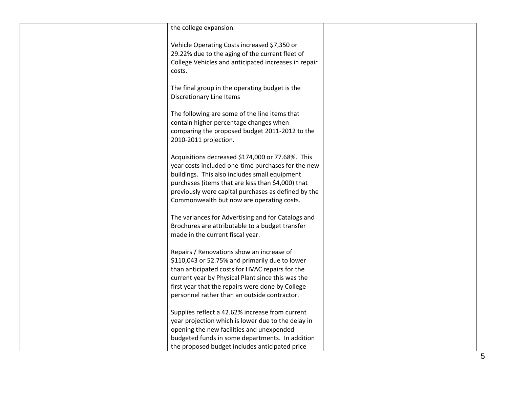| the college expansion.                                                                                                                                                                                                                                                                                           |  |
|------------------------------------------------------------------------------------------------------------------------------------------------------------------------------------------------------------------------------------------------------------------------------------------------------------------|--|
| Vehicle Operating Costs increased \$7,350 or<br>29.22% due to the aging of the current fleet of<br>College Vehicles and anticipated increases in repair<br>costs.                                                                                                                                                |  |
| The final group in the operating budget is the<br>Discretionary Line Items                                                                                                                                                                                                                                       |  |
| The following are some of the line items that<br>contain higher percentage changes when<br>comparing the proposed budget 2011-2012 to the<br>2010-2011 projection.                                                                                                                                               |  |
| Acquisitions decreased \$174,000 or 77.68%. This<br>year costs included one-time purchases for the new<br>buildings. This also includes small equipment<br>purchases (items that are less than \$4,000) that<br>previously were capital purchases as defined by the<br>Commonwealth but now are operating costs. |  |
| The variances for Advertising and for Catalogs and<br>Brochures are attributable to a budget transfer<br>made in the current fiscal year.                                                                                                                                                                        |  |
| Repairs / Renovations show an increase of<br>\$110,043 or 52.75% and primarily due to lower<br>than anticipated costs for HVAC repairs for the<br>current year by Physical Plant since this was the<br>first year that the repairs were done by College<br>personnel rather than an outside contractor.          |  |
| Supplies reflect a 42.62% increase from current<br>year projection which is lower due to the delay in<br>opening the new facilities and unexpended<br>budgeted funds in some departments. In addition<br>the proposed budget includes anticipated price                                                          |  |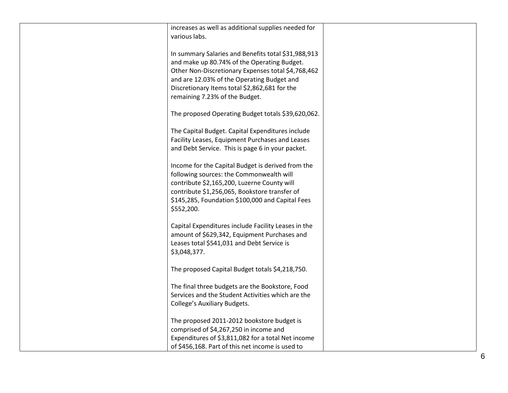| increases as well as additional supplies needed for                                                                                                                                                                                                                                       |  |
|-------------------------------------------------------------------------------------------------------------------------------------------------------------------------------------------------------------------------------------------------------------------------------------------|--|
| various labs.                                                                                                                                                                                                                                                                             |  |
| In summary Salaries and Benefits total \$31,988,913<br>and make up 80.74% of the Operating Budget.<br>Other Non-Discretionary Expenses total \$4,768,462<br>and are 12.03% of the Operating Budget and<br>Discretionary Items total \$2,862,681 for the<br>remaining 7.23% of the Budget. |  |
| The proposed Operating Budget totals \$39,620,062.                                                                                                                                                                                                                                        |  |
| The Capital Budget. Capital Expenditures include<br>Facility Leases, Equipment Purchases and Leases<br>and Debt Service. This is page 6 in your packet.                                                                                                                                   |  |
| Income for the Capital Budget is derived from the<br>following sources: the Commonwealth will<br>contribute \$2,165,200, Luzerne County will<br>contribute \$1,256,065, Bookstore transfer of<br>\$145,285, Foundation \$100,000 and Capital Fees<br>\$552,200.                           |  |
| Capital Expenditures include Facility Leases in the<br>amount of \$629,342, Equipment Purchases and<br>Leases total \$541,031 and Debt Service is<br>\$3,048,377.                                                                                                                         |  |
| The proposed Capital Budget totals \$4,218,750.                                                                                                                                                                                                                                           |  |
| The final three budgets are the Bookstore, Food<br>Services and the Student Activities which are the<br><b>College's Auxiliary Budgets.</b>                                                                                                                                               |  |
| The proposed 2011-2012 bookstore budget is<br>comprised of \$4,267,250 in income and<br>Expenditures of \$3,811,082 for a total Net income<br>of \$456,168. Part of this net income is used to                                                                                            |  |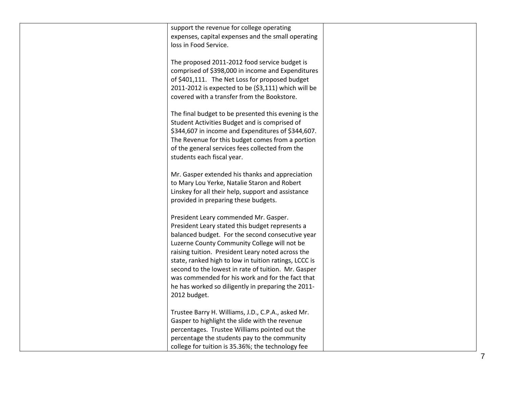| support the revenue for college operating<br>expenses, capital expenses and the small operating<br>loss in Food Service.                                                                                                                                                                                                                                                                                                                                                                    |  |
|---------------------------------------------------------------------------------------------------------------------------------------------------------------------------------------------------------------------------------------------------------------------------------------------------------------------------------------------------------------------------------------------------------------------------------------------------------------------------------------------|--|
| The proposed 2011-2012 food service budget is<br>comprised of \$398,000 in income and Expenditures<br>of \$401,111. The Net Loss for proposed budget<br>2011-2012 is expected to be (\$3,111) which will be<br>covered with a transfer from the Bookstore.                                                                                                                                                                                                                                  |  |
| The final budget to be presented this evening is the<br>Student Activities Budget and is comprised of<br>\$344,607 in income and Expenditures of \$344,607.<br>The Revenue for this budget comes from a portion<br>of the general services fees collected from the<br>students each fiscal year.                                                                                                                                                                                            |  |
| Mr. Gasper extended his thanks and appreciation<br>to Mary Lou Yerke, Natalie Staron and Robert<br>Linskey for all their help, support and assistance<br>provided in preparing these budgets.                                                                                                                                                                                                                                                                                               |  |
| President Leary commended Mr. Gasper.<br>President Leary stated this budget represents a<br>balanced budget. For the second consecutive year<br>Luzerne County Community College will not be<br>raising tuition. President Leary noted across the<br>state, ranked high to low in tuition ratings, LCCC is<br>second to the lowest in rate of tuition. Mr. Gasper<br>was commended for his work and for the fact that<br>he has worked so diligently in preparing the 2011-<br>2012 budget. |  |
| Trustee Barry H. Williams, J.D., C.P.A., asked Mr.<br>Gasper to highlight the slide with the revenue<br>percentages. Trustee Williams pointed out the<br>percentage the students pay to the community<br>college for tuition is 35.36%; the technology fee                                                                                                                                                                                                                                  |  |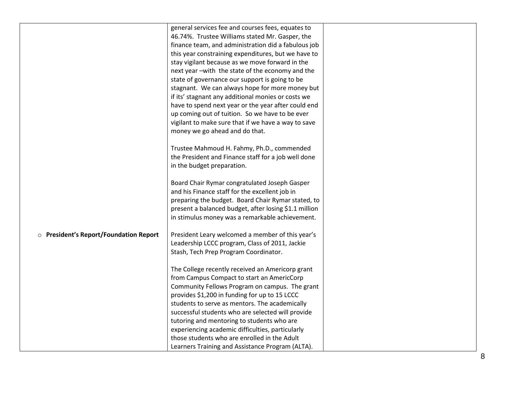|                                        | general services fee and courses fees, equates to     |  |
|----------------------------------------|-------------------------------------------------------|--|
|                                        | 46.74%. Trustee Williams stated Mr. Gasper, the       |  |
|                                        | finance team, and administration did a fabulous job   |  |
|                                        | this year constraining expenditures, but we have to   |  |
|                                        | stay vigilant because as we move forward in the       |  |
|                                        | next year -with the state of the economy and the      |  |
|                                        | state of governance our support is going to be        |  |
|                                        | stagnant. We can always hope for more money but       |  |
|                                        | if its' stagnant any additional monies or costs we    |  |
|                                        | have to spend next year or the year after could end   |  |
|                                        | up coming out of tuition. So we have to be ever       |  |
|                                        | vigilant to make sure that if we have a way to save   |  |
|                                        | money we go ahead and do that.                        |  |
|                                        | Trustee Mahmoud H. Fahmy, Ph.D., commended            |  |
|                                        | the President and Finance staff for a job well done   |  |
|                                        | in the budget preparation.                            |  |
|                                        |                                                       |  |
|                                        | Board Chair Rymar congratulated Joseph Gasper         |  |
|                                        | and his Finance staff for the excellent job in        |  |
|                                        | preparing the budget. Board Chair Rymar stated, to    |  |
|                                        | present a balanced budget, after losing \$1.1 million |  |
|                                        | in stimulus money was a remarkable achievement.       |  |
| O President's Report/Foundation Report | President Leary welcomed a member of this year's      |  |
|                                        | Leadership LCCC program, Class of 2011, Jackie        |  |
|                                        | Stash, Tech Prep Program Coordinator.                 |  |
|                                        |                                                       |  |
|                                        | The College recently received an Americorp grant      |  |
|                                        | from Campus Compact to start an AmericCorp            |  |
|                                        | Community Fellows Program on campus. The grant        |  |
|                                        | provides \$1,200 in funding for up to 15 LCCC         |  |
|                                        | students to serve as mentors. The academically        |  |
|                                        | successful students who are selected will provide     |  |
|                                        | tutoring and mentoring to students who are            |  |
|                                        | experiencing academic difficulties, particularly      |  |
|                                        | those students who are enrolled in the Adult          |  |
|                                        | Learners Training and Assistance Program (ALTA).      |  |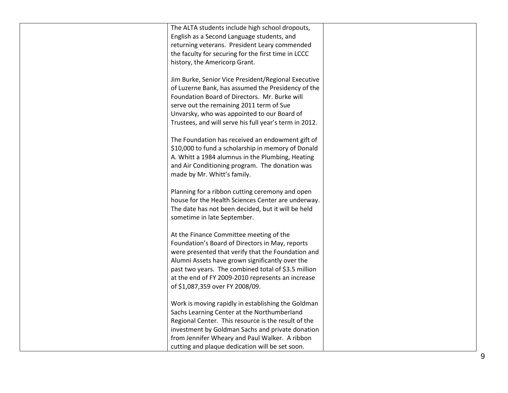| The ALTA students include high school dropouts,        |  |
|--------------------------------------------------------|--|
| English as a Second Language students, and             |  |
| returning veterans. President Leary commended          |  |
| the faculty for securing for the first time in LCCC    |  |
| history, the Americorp Grant.                          |  |
|                                                        |  |
| Jim Burke, Senior Vice President/Regional Executive    |  |
| of Luzerne Bank, has assumed the Presidency of the     |  |
| Foundation Board of Directors. Mr. Burke will          |  |
| serve out the remaining 2011 term of Sue               |  |
| Unvarsky, who was appointed to our Board of            |  |
| Trustees, and will serve his full year's term in 2012. |  |
|                                                        |  |
| The Foundation has received an endowment gift of       |  |
| \$10,000 to fund a scholarship in memory of Donald     |  |
| A. Whitt a 1984 alumnus in the Plumbing, Heating       |  |
| and Air Conditioning program. The donation was         |  |
| made by Mr. Whitt's family.                            |  |
| Planning for a ribbon cutting ceremony and open        |  |
| house for the Health Sciences Center are underway.     |  |
| The date has not been decided, but it will be held     |  |
| sometime in late September.                            |  |
|                                                        |  |
| At the Finance Committee meeting of the                |  |
| Foundation's Board of Directors in May, reports        |  |
| were presented that verify that the Foundation and     |  |
| Alumni Assets have grown significantly over the        |  |
| past two years. The combined total of \$3.5 million    |  |
| at the end of FY 2009-2010 represents an increase      |  |
| of \$1,087,359 over FY 2008/09.                        |  |
|                                                        |  |
| Work is moving rapidly in establishing the Goldman     |  |
| Sachs Learning Center at the Northumberland            |  |
| Regional Center. This resource is the result of the    |  |
| investment by Goldman Sachs and private donation       |  |
| from Jennifer Wheary and Paul Walker. A ribbon         |  |
| cutting and plaque dedication will be set soon.        |  |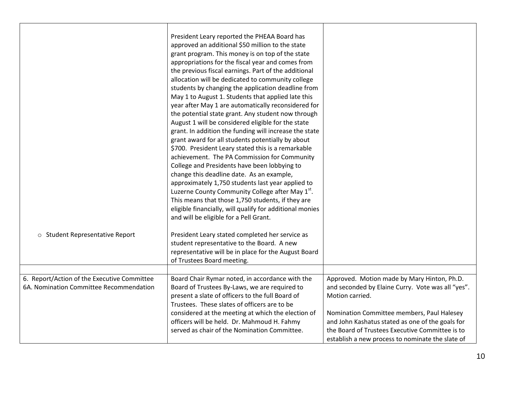|                                                                                        | President Leary reported the PHEAA Board has<br>approved an additional \$50 million to the state<br>grant program. This money is on top of the state<br>appropriations for the fiscal year and comes from<br>the previous fiscal earnings. Part of the additional<br>allocation will be dedicated to community college<br>students by changing the application deadline from<br>May 1 to August 1. Students that applied late this<br>year after May 1 are automatically reconsidered for<br>the potential state grant. Any student now through<br>August 1 will be considered eligible for the state<br>grant. In addition the funding will increase the state<br>grant award for all students potentially by about<br>\$700. President Leary stated this is a remarkable<br>achievement. The PA Commission for Community<br>College and Presidents have been lobbying to<br>change this deadline date. As an example,<br>approximately 1,750 students last year applied to<br>Luzerne County Community College after May 1 <sup>st</sup> .<br>This means that those 1,750 students, if they are<br>eligible financially, will qualify for additional monies<br>and will be eligible for a Pell Grant. |                                                                                                                                                                                                                                                                                                                              |
|----------------------------------------------------------------------------------------|---------------------------------------------------------------------------------------------------------------------------------------------------------------------------------------------------------------------------------------------------------------------------------------------------------------------------------------------------------------------------------------------------------------------------------------------------------------------------------------------------------------------------------------------------------------------------------------------------------------------------------------------------------------------------------------------------------------------------------------------------------------------------------------------------------------------------------------------------------------------------------------------------------------------------------------------------------------------------------------------------------------------------------------------------------------------------------------------------------------------------------------------------------------------------------------------------------|------------------------------------------------------------------------------------------------------------------------------------------------------------------------------------------------------------------------------------------------------------------------------------------------------------------------------|
| o Student Representative Report                                                        | President Leary stated completed her service as<br>student representative to the Board. A new<br>representative will be in place for the August Board<br>of Trustees Board meeting.                                                                                                                                                                                                                                                                                                                                                                                                                                                                                                                                                                                                                                                                                                                                                                                                                                                                                                                                                                                                                     |                                                                                                                                                                                                                                                                                                                              |
|                                                                                        |                                                                                                                                                                                                                                                                                                                                                                                                                                                                                                                                                                                                                                                                                                                                                                                                                                                                                                                                                                                                                                                                                                                                                                                                         |                                                                                                                                                                                                                                                                                                                              |
| 6. Report/Action of the Executive Committee<br>6A. Nomination Committee Recommendation | Board Chair Rymar noted, in accordance with the<br>Board of Trustees By-Laws, we are required to<br>present a slate of officers to the full Board of<br>Trustees. These slates of officers are to be<br>considered at the meeting at which the election of<br>officers will be held. Dr. Mahmoud H. Fahmy<br>served as chair of the Nomination Committee.                                                                                                                                                                                                                                                                                                                                                                                                                                                                                                                                                                                                                                                                                                                                                                                                                                               | Approved. Motion made by Mary Hinton, Ph.D.<br>and seconded by Elaine Curry. Vote was all "yes".<br>Motion carried.<br>Nomination Committee members, Paul Halesey<br>and John Kashatus stated as one of the goals for<br>the Board of Trustees Executive Committee is to<br>establish a new process to nominate the slate of |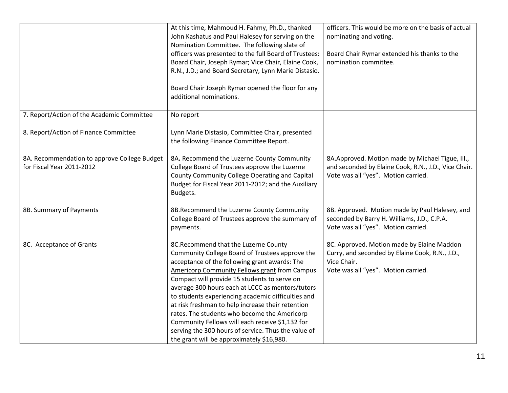|                                                                           | At this time, Mahmoud H. Fahmy, Ph.D., thanked<br>John Kashatus and Paul Halesey for serving on the<br>Nomination Committee. The following slate of<br>officers was presented to the full Board of Trustees:<br>Board Chair, Joseph Rymar; Vice Chair, Elaine Cook,<br>R.N., J.D.; and Board Secretary, Lynn Marie Distasio.<br>Board Chair Joseph Rymar opened the floor for any<br>additional nominations.                                                                                                                                                                                                           | officers. This would be more on the basis of actual<br>nominating and voting.<br>Board Chair Rymar extended his thanks to the<br>nomination committee. |
|---------------------------------------------------------------------------|------------------------------------------------------------------------------------------------------------------------------------------------------------------------------------------------------------------------------------------------------------------------------------------------------------------------------------------------------------------------------------------------------------------------------------------------------------------------------------------------------------------------------------------------------------------------------------------------------------------------|--------------------------------------------------------------------------------------------------------------------------------------------------------|
| 7. Report/Action of the Academic Committee                                | No report                                                                                                                                                                                                                                                                                                                                                                                                                                                                                                                                                                                                              |                                                                                                                                                        |
|                                                                           |                                                                                                                                                                                                                                                                                                                                                                                                                                                                                                                                                                                                                        |                                                                                                                                                        |
| 8. Report/Action of Finance Committee                                     | Lynn Marie Distasio, Committee Chair, presented<br>the following Finance Committee Report.                                                                                                                                                                                                                                                                                                                                                                                                                                                                                                                             |                                                                                                                                                        |
| 8A. Recommendation to approve College Budget<br>for Fiscal Year 2011-2012 | 8A. Recommend the Luzerne County Community<br>College Board of Trustees approve the Luzerne<br>County Community College Operating and Capital<br>Budget for Fiscal Year 2011-2012; and the Auxiliary<br>Budgets.                                                                                                                                                                                                                                                                                                                                                                                                       | 8A.Approved. Motion made by Michael Tigue, III.,<br>and seconded by Elaine Cook, R.N., J.D., Vice Chair.<br>Vote was all "yes". Motion carried.        |
| 8B. Summary of Payments                                                   | 8B.Recommend the Luzerne County Community<br>College Board of Trustees approve the summary of<br>payments.                                                                                                                                                                                                                                                                                                                                                                                                                                                                                                             | 8B. Approved. Motion made by Paul Halesey, and<br>seconded by Barry H. Williams, J.D., C.P.A.<br>Vote was all "yes". Motion carried.                   |
| 8C. Acceptance of Grants                                                  | 8C.Recommend that the Luzerne County<br>Community College Board of Trustees approve the<br>acceptance of the following grant awards: The<br><b>Americorp Community Fellows grant from Campus</b><br>Compact will provide 15 students to serve on<br>average 300 hours each at LCCC as mentors/tutors<br>to students experiencing academic difficulties and<br>at risk freshman to help increase their retention<br>rates. The students who become the Americorp<br>Community Fellows will each receive \$1,132 for<br>serving the 300 hours of service. Thus the value of<br>the grant will be approximately \$16,980. | 8C. Approved. Motion made by Elaine Maddon<br>Curry, and seconded by Elaine Cook, R.N., J.D.,<br>Vice Chair.<br>Vote was all "yes". Motion carried.    |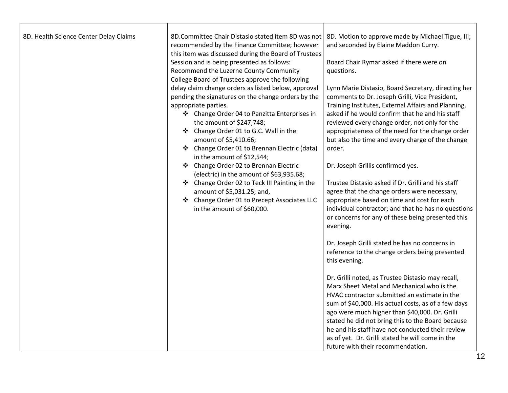| 8D. Health Science Center Delay Claims | 8D.Committee Chair Distasio stated item 8D was not<br>recommended by the Finance Committee; however<br>this item was discussed during the Board of Trustees<br>Session and is being presented as follows:<br>Recommend the Luzerne County Community<br>College Board of Trustees approve the following<br>delay claim change orders as listed below, approval<br>pending the signatures on the change orders by the<br>appropriate parties.<br>❖ Change Order 04 to Panzitta Enterprises in<br>the amount of \$247,748;<br>❖ Change Order 01 to G.C. Wall in the<br>amount of \$5,410.66;<br>❖ Change Order 01 to Brennan Electric (data)<br>in the amount of \$12,544;<br>❖ Change Order 02 to Brennan Electric<br>(electric) in the amount of \$63,935.68;<br>❖ Change Order 02 to Teck III Painting in the<br>amount of \$5,031.25; and,<br>❖ Change Order 01 to Precept Associates LLC<br>in the amount of \$60,000. | 8D. Motion to approve made by Michael Tigue, III;<br>and seconded by Elaine Maddon Curry.<br>Board Chair Rymar asked if there were on<br>questions.<br>Lynn Marie Distasio, Board Secretary, directing her<br>comments to Dr. Joseph Grilli, Vice President,<br>Training Institutes, External Affairs and Planning,<br>asked if he would confirm that he and his staff<br>reviewed every change order, not only for the<br>appropriateness of the need for the change order<br>but also the time and every charge of the change<br>order.<br>Dr. Joseph Grillis confirmed yes.<br>Trustee Distasio asked if Dr. Grilli and his staff<br>agree that the change orders were necessary,<br>appropriate based on time and cost for each<br>individual contractor; and that he has no questions<br>or concerns for any of these being presented this<br>evening.<br>Dr. Joseph Grilli stated he has no concerns in<br>reference to the change orders being presented<br>this evening.<br>Dr. Grilli noted, as Trustee Distasio may recall,<br>Marx Sheet Metal and Mechanical who is the<br>HVAC contractor submitted an estimate in the<br>sum of \$40,000. His actual costs, as of a few days<br>ago were much higher than \$40,000. Dr. Grilli |
|----------------------------------------|--------------------------------------------------------------------------------------------------------------------------------------------------------------------------------------------------------------------------------------------------------------------------------------------------------------------------------------------------------------------------------------------------------------------------------------------------------------------------------------------------------------------------------------------------------------------------------------------------------------------------------------------------------------------------------------------------------------------------------------------------------------------------------------------------------------------------------------------------------------------------------------------------------------------------|----------------------------------------------------------------------------------------------------------------------------------------------------------------------------------------------------------------------------------------------------------------------------------------------------------------------------------------------------------------------------------------------------------------------------------------------------------------------------------------------------------------------------------------------------------------------------------------------------------------------------------------------------------------------------------------------------------------------------------------------------------------------------------------------------------------------------------------------------------------------------------------------------------------------------------------------------------------------------------------------------------------------------------------------------------------------------------------------------------------------------------------------------------------------------------------------------------------------------------------------|
|                                        |                                                                                                                                                                                                                                                                                                                                                                                                                                                                                                                                                                                                                                                                                                                                                                                                                                                                                                                          | stated he did not bring this to the Board because<br>he and his staff have not conducted their review                                                                                                                                                                                                                                                                                                                                                                                                                                                                                                                                                                                                                                                                                                                                                                                                                                                                                                                                                                                                                                                                                                                                        |
|                                        |                                                                                                                                                                                                                                                                                                                                                                                                                                                                                                                                                                                                                                                                                                                                                                                                                                                                                                                          | as of yet. Dr. Grilli stated he will come in the                                                                                                                                                                                                                                                                                                                                                                                                                                                                                                                                                                                                                                                                                                                                                                                                                                                                                                                                                                                                                                                                                                                                                                                             |
|                                        |                                                                                                                                                                                                                                                                                                                                                                                                                                                                                                                                                                                                                                                                                                                                                                                                                                                                                                                          | future with their recommendation.                                                                                                                                                                                                                                                                                                                                                                                                                                                                                                                                                                                                                                                                                                                                                                                                                                                                                                                                                                                                                                                                                                                                                                                                            |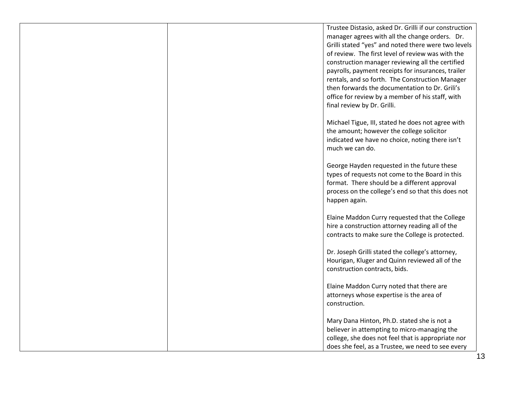Trustee Distasio, asked Dr. Grilli if our construction manager agrees with all the change orders. Dr. Grilli stated "yes" and noted there were two levels of review. The first level of review was with the construction manager reviewing all the certified payrolls, payment receipts for insurances, trailer rentals, and so forth. The Construction Manager then forwards the documentation to Dr. Grili's office for review by a member of his staff, with final review by Dr. Grilli.

Michael Tigue, III, stated he does not agree with the amount; however the college solicitor indicated we have no choice, noting there isn't much we can do.

George Hayden requested in the future these types of requests not come to the Board in this format. There should be a different approval process on the college's end so that this does not happen again.

Elaine Maddon Curry requested that the College hire a construction attorney reading all of the contracts to make sure the College is protected.

Dr. Joseph Grilli stated the college's attorney, Hourigan, Kluger and Quinn reviewed all of the construction contracts, bids.

Elaine Maddon Curry noted that there are attorneys whose expertise is the area of construction.

Mary Dana Hinton, Ph.D. stated she is not a believer in attempting to micro-managing the college, she does not feel that is appropriate nor does she feel, as a Trustee, we need to see every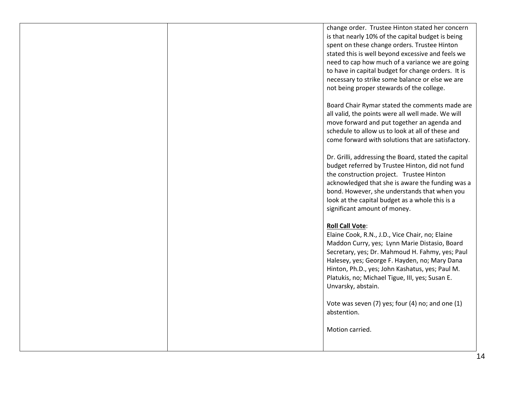change order. Trustee Hinton stated her concern is that nearly 10% of the capital budget is being spent on these change orders. Trustee Hinton stated this is well beyond excessive and feels we need to cap how much of a variance we are going to have in capital budget for change orders. It is necessary to strike some balance or else we are not being proper stewards of the college.

Board Chair Rymar stated the comments made are all valid, the points were all well made. We will move forward and put together an agenda and schedule to allow us to look at all of these and come forward with solutions that are satisfactory.

Dr. Grilli, addressing the Board, stated the capital budget referred by Trustee Hinton, did not fund the construction project. Trustee Hinton acknowledged that she is aware the funding was a bond. However, she understands that when you look at the capital budget as a whole this is a significant amount of money.

## **Roll Call Vote**:

Elaine Cook, R.N., J.D., Vice Chair, no; Elaine Maddon Curry, yes; Lynn Marie Distasio, Board Secretary, yes; Dr. Mahmoud H. Fahmy, yes; Paul Halesey, yes; George F. Hayden, no; Mary Dana Hinton, Ph.D., yes; John Kashatus, yes; Paul M. Platukis, no; Michael Tigue, III, yes; Susan E. Unvarsky, abstain.

Vote was seven (7) yes; four (4) no; and one (1) abstention.

Motion carried.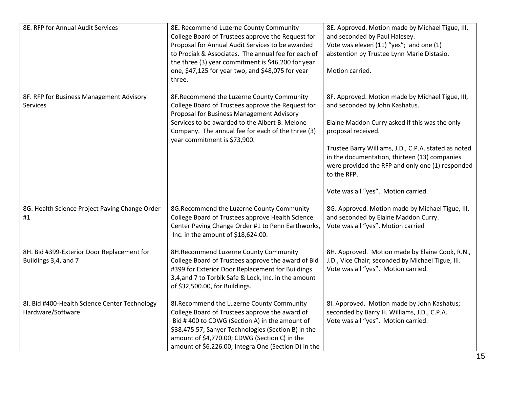| 8E. RFP for Annual Audit Services                                  | 8E. Recommend Luzerne County Community<br>College Board of Trustees approve the Request for<br>Proposal for Annual Audit Services to be awarded<br>to Prociak & Associates. The annual fee for each of<br>the three (3) year commitment is \$46,200 for year<br>one, \$47,125 for year two, and \$48,075 for year<br>three. | 8E. Approved. Motion made by Michael Tigue, III,<br>and seconded by Paul Halesey.<br>Vote was eleven (11) "yes"; and one (1)<br>abstention by Trustee Lynn Marie Distasio.<br>Motion carried.                                                                                                                                                                                 |
|--------------------------------------------------------------------|-----------------------------------------------------------------------------------------------------------------------------------------------------------------------------------------------------------------------------------------------------------------------------------------------------------------------------|-------------------------------------------------------------------------------------------------------------------------------------------------------------------------------------------------------------------------------------------------------------------------------------------------------------------------------------------------------------------------------|
| 8F. RFP for Business Management Advisory<br><b>Services</b>        | 8F.Recommend the Luzerne County Community<br>College Board of Trustees approve the Request for<br>Proposal for Business Management Advisory<br>Services to be awarded to the Albert B. Melone<br>Company. The annual fee for each of the three (3)<br>year commitment is \$73,900.                                          | 8F. Approved. Motion made by Michael Tigue, III,<br>and seconded by John Kashatus.<br>Elaine Maddon Curry asked if this was the only<br>proposal received.<br>Trustee Barry Williams, J.D., C.P.A. stated as noted<br>in the documentation, thirteen (13) companies<br>were provided the RFP and only one (1) responded<br>to the RFP.<br>Vote was all "yes". Motion carried. |
| 8G. Health Science Project Paving Change Order<br>#1               | 8G. Recommend the Luzerne County Community<br>College Board of Trustees approve Health Science<br>Center Paving Change Order #1 to Penn Earthworks,<br>Inc. in the amount of \$18,624.00.                                                                                                                                   | 8G. Approved. Motion made by Michael Tigue, III,<br>and seconded by Elaine Maddon Curry.<br>Vote was all "yes". Motion carried                                                                                                                                                                                                                                                |
| 8H. Bid #399-Exterior Door Replacement for<br>Buildings 3,4, and 7 | 8H.Recommend Luzerne County Community<br>College Board of Trustees approve the award of Bid<br>#399 for Exterior Door Replacement for Buildings<br>3,4, and 7 to Torbik Safe & Lock, Inc. in the amount<br>of \$32,500.00, for Buildings.                                                                                   | 8H. Approved. Motion made by Elaine Cook, R.N.,<br>J.D., Vice Chair; seconded by Michael Tigue, III.<br>Vote was all "yes". Motion carried.                                                                                                                                                                                                                                   |
| 8I. Bid #400-Health Science Center Technology<br>Hardware/Software | 8I.Recommend the Luzerne County Community<br>College Board of Trustees approve the award of<br>Bid #400 to CDWG (Section A) in the amount of<br>\$38,475.57; Sanyer Technologies (Section B) in the<br>amount of \$4,770.00; CDWG (Section C) in the<br>amount of \$6,226.00; Integra One (Section D) in the                | 8I. Approved. Motion made by John Kashatus;<br>seconded by Barry H. Williams, J.D., C.P.A.<br>Vote was all "yes". Motion carried.                                                                                                                                                                                                                                             |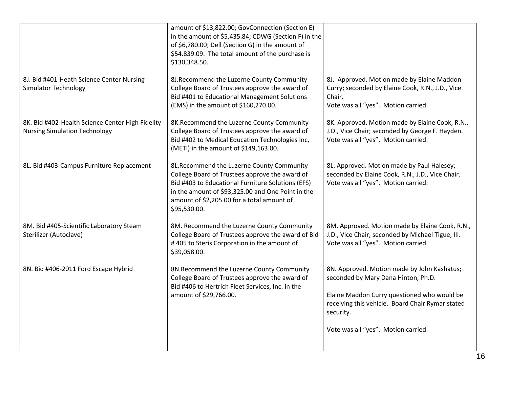|                                                                                          | amount of \$13,822.00; GovConnection (Section E)<br>in the amount of \$5,435.84; CDWG (Section F) in the<br>of \$6,780.00; Dell (Section G) in the amount of<br>\$54.839.09. The total amount of the purchase is<br>\$130,348.50.                                    |                                                                                                                                                                                                                                           |
|------------------------------------------------------------------------------------------|----------------------------------------------------------------------------------------------------------------------------------------------------------------------------------------------------------------------------------------------------------------------|-------------------------------------------------------------------------------------------------------------------------------------------------------------------------------------------------------------------------------------------|
| 8J. Bid #401-Heath Science Center Nursing<br><b>Simulator Technology</b>                 | 8J.Recommend the Luzerne County Community<br>College Board of Trustees approve the award of<br>Bid #401 to Educational Management Solutions<br>(EMS) in the amount of \$160,270.00.                                                                                  | 8J. Approved. Motion made by Elaine Maddon<br>Curry; seconded by Elaine Cook, R.N., J.D., Vice<br>Chair.<br>Vote was all "yes". Motion carried.                                                                                           |
| 8K. Bid #402-Health Science Center High Fidelity<br><b>Nursing Simulation Technology</b> | 8K. Recommend the Luzerne County Community<br>College Board of Trustees approve the award of<br>Bid #402 to Medical Education Technologies Inc,<br>(METI) in the amount of \$149,163.00.                                                                             | 8K. Approved. Motion made by Elaine Cook, R.N.,<br>J.D., Vice Chair; seconded by George F. Hayden.<br>Vote was all "yes". Motion carried.                                                                                                 |
| 8L. Bid #403-Campus Furniture Replacement                                                | 8L. Recommend the Luzerne County Community<br>College Board of Trustees approve the award of<br>Bid #403 to Educational Furniture Solutions (EFS)<br>in the amount of \$93,325.00 and One Point in the<br>amount of \$2,205.00 for a total amount of<br>\$95,530.00. | 8L. Approved. Motion made by Paul Halesey;<br>seconded by Elaine Cook, R.N., J.D., Vice Chair.<br>Vote was all "yes". Motion carried.                                                                                                     |
| 8M. Bid #405-Scientific Laboratory Steam<br>Sterilizer (Autoclave)                       | 8M. Recommend the Luzerne County Community<br>College Board of Trustees approve the award of Bid<br>#405 to Steris Corporation in the amount of<br>\$39,058.00.                                                                                                      | 8M. Approved. Motion made by Elaine Cook, R.N.,<br>J.D., Vice Chair; seconded by Michael Tigue, III.<br>Vote was all "yes". Motion carried.                                                                                               |
| 8N. Bid #406-2011 Ford Escape Hybrid                                                     | 8N.Recommend the Luzerne County Community<br>College Board of Trustees approve the award of<br>Bid #406 to Hertrich Fleet Services, Inc. in the<br>amount of \$29,766.00.                                                                                            | 8N. Approved. Motion made by John Kashatus;<br>seconded by Mary Dana Hinton, Ph.D.<br>Elaine Maddon Curry questioned who would be<br>receiving this vehicle. Board Chair Rymar stated<br>security.<br>Vote was all "yes". Motion carried. |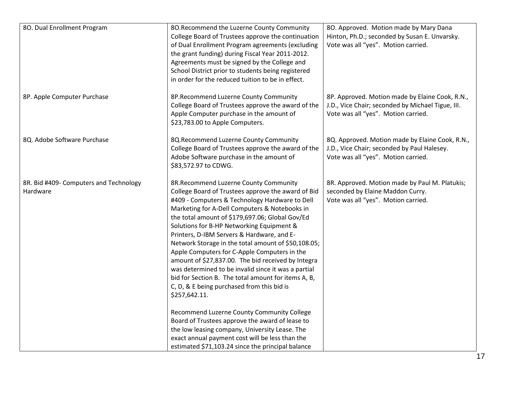| 80. Dual Enrollment Program                        | 80. Recommend the Luzerne County Community<br>College Board of Trustees approve the continuation<br>of Dual Enrollment Program agreements (excluding<br>the grant funding) during Fiscal Year 2011-2012.<br>Agreements must be signed by the College and<br>School District prior to students being registered<br>in order for the reduced tuition to be in effect.                                                                                                                                                                                                                                                                                                                                                                                                                                                                                                                                                                               | 80. Approved. Motion made by Mary Dana<br>Hinton, Ph.D.; seconded by Susan E. Unvarsky.<br>Vote was all "yes". Motion carried.              |
|----------------------------------------------------|---------------------------------------------------------------------------------------------------------------------------------------------------------------------------------------------------------------------------------------------------------------------------------------------------------------------------------------------------------------------------------------------------------------------------------------------------------------------------------------------------------------------------------------------------------------------------------------------------------------------------------------------------------------------------------------------------------------------------------------------------------------------------------------------------------------------------------------------------------------------------------------------------------------------------------------------------|---------------------------------------------------------------------------------------------------------------------------------------------|
| 8P. Apple Computer Purchase                        | 8P.Recommend Luzerne County Community<br>College Board of Trustees approve the award of the<br>Apple Computer purchase in the amount of<br>\$23,783.00 to Apple Computers.                                                                                                                                                                                                                                                                                                                                                                                                                                                                                                                                                                                                                                                                                                                                                                        | 8P. Approved. Motion made by Elaine Cook, R.N.,<br>J.D., Vice Chair; seconded by Michael Tigue, III.<br>Vote was all "yes". Motion carried. |
| 8Q. Adobe Software Purchase                        | 8Q.Recommend Luzerne County Community<br>College Board of Trustees approve the award of the<br>Adobe Software purchase in the amount of<br>\$83,572.97 to CDWG.                                                                                                                                                                                                                                                                                                                                                                                                                                                                                                                                                                                                                                                                                                                                                                                   | 8Q. Approved. Motion made by Elaine Cook, R.N.,<br>J.D., Vice Chair; seconded by Paul Halesey.<br>Vote was all "yes". Motion carried.       |
| 8R. Bid #409- Computers and Technology<br>Hardware | 8R.Recommend Luzerne County Community<br>College Board of Trustees approve the award of Bid<br>#409 - Computers & Technology Hardware to Dell<br>Marketing for A-Dell Computers & Notebooks in<br>the total amount of \$179,697.06; Global Gov/Ed<br>Solutions for B-HP Networking Equipment &<br>Printers, D-IBM Servers & Hardware, and E-<br>Network Storage in the total amount of \$50,108.05;<br>Apple Computers for C-Apple Computers in the<br>amount of \$27,837.00. The bid received by Integra<br>was determined to be invalid since it was a partial<br>bid for Section B. The total amount for items A, B,<br>C, D, & E being purchased from this bid is<br>\$257,642.11.<br>Recommend Luzerne County Community College<br>Board of Trustees approve the award of lease to<br>the low leasing company, University Lease. The<br>exact annual payment cost will be less than the<br>estimated \$71,103.24 since the principal balance | 8R. Approved. Motion made by Paul M. Platukis;<br>seconded by Elaine Maddon Curry.<br>Vote was all "yes". Motion carried.                   |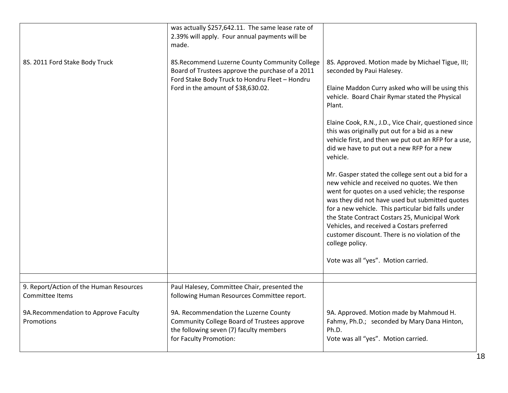|                                                            | was actually \$257,642.11. The same lease rate of<br>2.39% will apply. Four annual payments will be<br>made.                                                                              |                                                                                                                                                                                                                                                                                                                                                                                                                                                                                                                                                                                                                                                                                                                                                                                                                                                                                                         |
|------------------------------------------------------------|-------------------------------------------------------------------------------------------------------------------------------------------------------------------------------------------|---------------------------------------------------------------------------------------------------------------------------------------------------------------------------------------------------------------------------------------------------------------------------------------------------------------------------------------------------------------------------------------------------------------------------------------------------------------------------------------------------------------------------------------------------------------------------------------------------------------------------------------------------------------------------------------------------------------------------------------------------------------------------------------------------------------------------------------------------------------------------------------------------------|
| 8S. 2011 Ford Stake Body Truck                             | 8S.Recommend Luzerne County Community College<br>Board of Trustees approve the purchase of a 2011<br>Ford Stake Body Truck to Hondru Fleet - Hondru<br>Ford in the amount of \$38,630.02. | 8S. Approved. Motion made by Michael Tigue, III;<br>seconded by Paui Halesey.<br>Elaine Maddon Curry asked who will be using this<br>vehicle. Board Chair Rymar stated the Physical<br>Plant.<br>Elaine Cook, R.N., J.D., Vice Chair, questioned since<br>this was originally put out for a bid as a new<br>vehicle first, and then we put out an RFP for a use,<br>did we have to put out a new RFP for a new<br>vehicle.<br>Mr. Gasper stated the college sent out a bid for a<br>new vehicle and received no quotes. We then<br>went for quotes on a used vehicle; the response<br>was they did not have used but submitted quotes<br>for a new vehicle. This particular bid falls under<br>the State Contract Costars 25, Municipal Work<br>Vehicles, and received a Costars preferred<br>customer discount. There is no violation of the<br>college policy.<br>Vote was all "yes". Motion carried. |
|                                                            |                                                                                                                                                                                           |                                                                                                                                                                                                                                                                                                                                                                                                                                                                                                                                                                                                                                                                                                                                                                                                                                                                                                         |
| 9. Report/Action of the Human Resources<br>Committee Items | Paul Halesey, Committee Chair, presented the<br>following Human Resources Committee report.                                                                                               |                                                                                                                                                                                                                                                                                                                                                                                                                                                                                                                                                                                                                                                                                                                                                                                                                                                                                                         |
| 9A.Recommendation to Approve Faculty<br>Promotions         | 9A. Recommendation the Luzerne County<br>Community College Board of Trustees approve<br>the following seven (7) faculty members<br>for Faculty Promotion:                                 | 9A. Approved. Motion made by Mahmoud H.<br>Fahmy, Ph.D.; seconded by Mary Dana Hinton,<br>Ph.D.<br>Vote was all "yes". Motion carried.                                                                                                                                                                                                                                                                                                                                                                                                                                                                                                                                                                                                                                                                                                                                                                  |